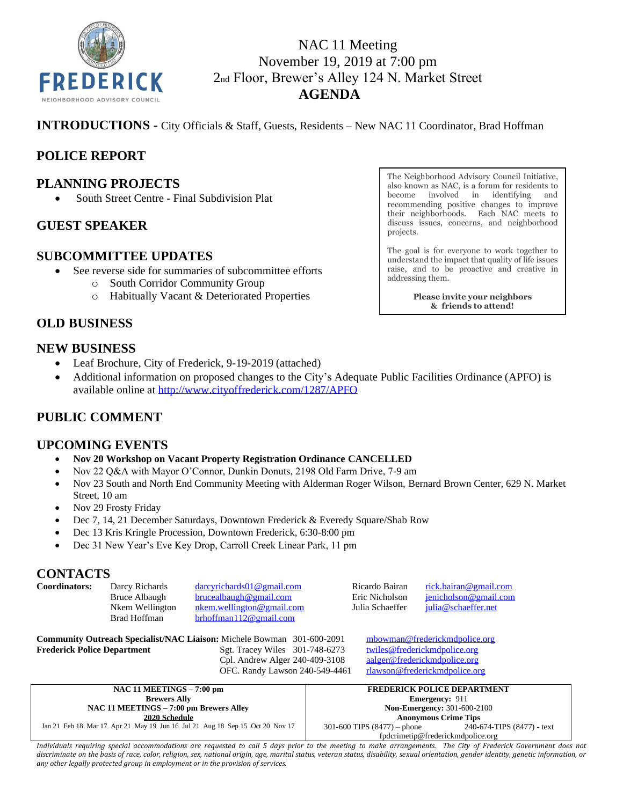

# NAC 11 Meeting November 19, 2019 at 7:00 pm 2nd Floor, Brewer's Alley 124 N. Market Street **AGENDA**

**INTRODUCTIONS** - City Officials & Staff, Guests, Residents – New NAC 11 Coordinator, Brad Hoffman

# **POLICE REPORT**

### **PLANNING PROJECTS**

• South Street Centre - Final Subdivision Plat

### **GUEST SPEAKER**

### **SUBCOMMITTEE UPDATES**

- See reverse side for summaries of subcommittee efforts
	- o South Corridor Community Group
	- o Habitually Vacant & Deteriorated Properties

The Neighborhood Advisory Council Initiative, also known as NAC, is a forum for residents to become involved in identifying and recommending positive changes to improve their neighborhoods. Each NAC meets to discuss issues, concerns, and neighborhood projects.

The goal is for everyone to work together to understand the impact that quality of life issues raise, and to be proactive and creative in addressing them.

> **Please invite your neighbors & friends to attend!**

# **OLD BUSINESS**

### **NEW BUSINESS**

- Leaf Brochure, City of Frederick, 9-19-2019 (attached)
- Additional information on proposed changes to the City's Adequate Public Facilities Ordinance (APFO) is available online at [http://www.cityoffrederick.com/1287/APFO](https://gcc02.safelinks.protection.outlook.com/?url=http%3A%2F%2Fwww.cityoffrederick.com%2F1287%2FAPFO&data=02%7C01%7C%7Cb55888400f484a92c14208d76916c0e3%7Cc379f8550dee4b099f890cee3aa7f761%7C0%7C0%7C637093418764341494&sdata=jp%2B%2FbtchSPm5gv8otytym%2FdzwP6ZFcVSh7WRjJ%2F9qAo%3D&reserved=0)

# **PUBLIC COMMENT**

### **UPCOMING EVENTS**

- **Nov 20 Workshop on Vacant Property Registration Ordinance CANCELLED**
- Nov 22 Q&A with Mayor O'Connor, Dunkin Donuts, 2198 Old Farm Drive, 7-9 am
- Nov 23 South and North End Community Meeting with Alderman Roger Wilson, Bernard Brown Center, 629 N. Market Street, 10 am
- Nov 29 Frosty Friday
- Dec 7, 14, 21 December Saturdays, Downtown Frederick & Everedy Square/Shab Row
- Dec 13 Kris Kringle Procession, Downtown Frederick, 6:30-8:00 pm
- Dec 31 New Year's Eve Key Drop, Carroll Creek Linear Park, 11 pm

### **CONTACTS**

| Coordinators: | Darcy Richards  | darcyrichards01@gmail.com     | Ricardo Bairan  | rick.bairan@gmail.com |
|---------------|-----------------|-------------------------------|-----------------|-----------------------|
|               | Bruce Albaugh   | brucealbaugh@gmail.com        | Eric Nicholson  | jenicholson@gmail.com |
|               | Nkem Wellington | nkem.wellington@gmail.com     | Julia Schaeffer | iulia@schaeffer.net   |
|               | Brad Hoffman    | $b$ rhoffman $112@$ gmail.com |                 |                       |
| --            | .               | -------                       |                 | __________            |

**Community Outreach Specialist/NAC Liaison:** Michele Bowman 301-600-2091 [mbowman@frederickmdpolice.org](mailto:mbowman@frederickmdpolice.org) **Frederick Police Department** Sgt. Tracey Wiles 301-748-6273 [twiles@frederickmdpolice.org](mailto:twiles@frederickmdpolice.org) Cpl. Andrew Alger 240-409-3108 [aalger@frederickmdpolice.org](mailto:aalger@frederickmdpolice.org) OFC. Randy Lawson 240-549-4461 [rlawson@frederickmdpolice.org](mailto:rlawson@frederickmdpolice.org)

| NAC 11 MEETINGS - 7:00 pm                                                    | <b>FREDERICK POLICE DEPARTMENT</b> |                            |
|------------------------------------------------------------------------------|------------------------------------|----------------------------|
| <b>Brewers Ally</b>                                                          | <b>Emergency: 911</b>              |                            |
| NAC 11 MEETINGS – 7:00 pm Brewers Alley                                      | <b>Non-Emergency: 301-600-2100</b> |                            |
| 2020 Schedule                                                                | <b>Anonymous Crime Tips</b>        |                            |
| Jan 21 Feb 18 Mar 17 Apr 21 May 19 Jun 16 Jul 21 Aug 18 Sep 15 Oct 20 Nov 17 | $301-600$ TIPS $(8477)$ – phone    | 240-674-TIPS (8477) - text |
|                                                                              | fpdcrimetip@frederickmdpolice.org  |                            |

*Individuals requiring special accommodations are requested to call 5 days prior to the meeting to make arrangements. The City of Frederick Government does not*  discriminate on the basis of race, color, religion, sex, national origin, age, marital status, veteran status, disability, sexual orientation, gender identity, genetic information, or *any other legally protected group in employment or in the provision of services.*